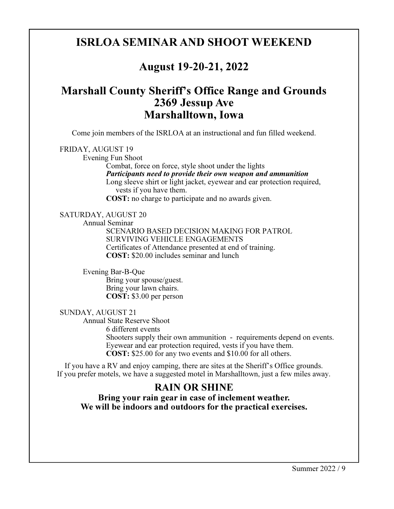#### ISRLOA SEMINAR AND SHOOT WEEKEND

#### August 19**-**20**-**21, 2022

#### Marshall County Sheriff's Office Range and Grounds 2369 Jessup Ave Marshalltown, Iowa

Come join members of the ISRLOA at an instructional and fun filled weekend.

#### FRIDAY, AUGUST 19

Evening Fun Shoot

 Combat, force on force, style shoot under the lights Participants need to provide their own weapon and ammunition Long sleeve shirt or light jacket, eyewear and ear protection required, vests if you have them.

COST: no charge to participate and no awards given.

SATURDAY, AUGUST 20 Annual Seminar SCENARIO BASED DECISION MAKING FOR PATROL SURVIVING VEHICLE ENGAGEMENTS Certificates of Attendance presented at end of training. COST: \$20.00 includes seminar and lunch

 Evening Bar-B-Que Bring your spouse/guest. Bring your lawn chairs. COST: \$3.00 per person

SUNDAY, AUGUST 21

 Annual State Reserve Shoot 6 different events Shooters supply their own ammunition - requirements depend on events. Eyewear and ear protection required, vests if you have them. COST: \$25.00 for any two events and \$10.00 for all others.

If you have a RV and enjoy camping, there are sites at the Sheriff's Office grounds. If you prefer motels, we have a suggested motel in Marshalltown, just a few miles away.

#### RAIN OR SHINE

Bring your rain gear in case of inclement weather. We will be indoors and outdoors for the practical exercises.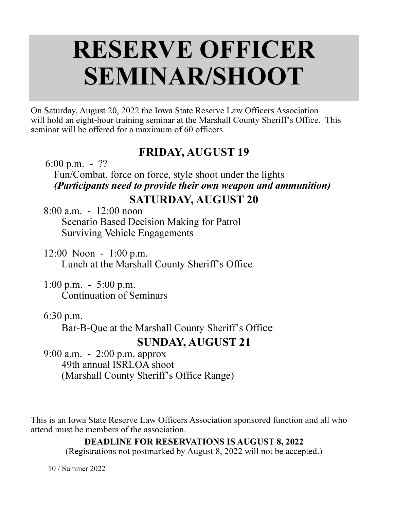# RESERVE OFFICER SEMINAR/SHOOT

On Saturday, August 20, 2022 the Iowa State Reserve Law Officers Association will hold an eight-hour training seminar at the Marshall County Sheriff's Office. This seminar will be offered for a maximum of 60 officers.

### FRIDAY, AUGUST 19

6:00 p.m. - ??

Fun/Combat, force on force, style shoot under the lights (Participants need to provide their own weapon and ammunition)

### SATURDAY, AUGUST 20

 8:00 a.m. - 12:00 noon Scenario Based Decision Making for Patrol Surviving Vehicle Engagements

- 12:00 Noon 1:00 p.m. Lunch at the Marshall County Sheriff's Office
- 1:00 p.m. 5:00 p.m. Continuation of Seminars

#### 6:30 p.m.

Bar-B-Que at the Marshall County Sheriff's Office

## SUNDAY, AUGUST 21

 9:00 a.m. - 2:00 p.m. approx 49th annual ISRLOA shoot (Marshall County Sheriff's Office Range)

This is an Iowa State Reserve Law Officers Association sponsored function and all who attend must be members of the association.

DEADLINE FOR RESERVATIONS IS AUGUST 8, 2022

(Registrations not postmarked by August 8, 2022 will not be accepted.)

10 / Summer 2022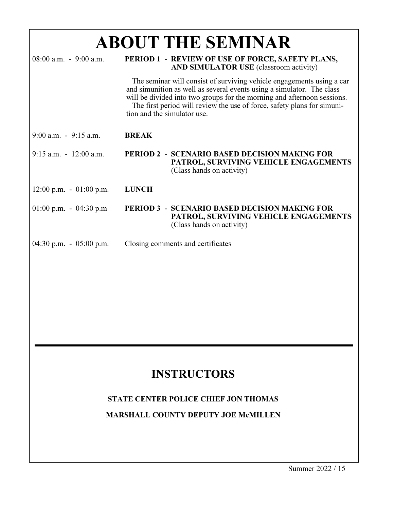| <b>ABOUT THE SEMINAR</b>                  |                                                                                                   |                                                                                                                                                                                                                                                                                                      |
|-------------------------------------------|---------------------------------------------------------------------------------------------------|------------------------------------------------------------------------------------------------------------------------------------------------------------------------------------------------------------------------------------------------------------------------------------------------------|
| $08:00$ a.m. $-9:00$ a.m.                 | PERIOD 1 - REVIEW OF USE OF FORCE, SAFETY PLANS,<br><b>AND SIMULATOR USE</b> (classroom activity) |                                                                                                                                                                                                                                                                                                      |
|                                           | tion and the simulator use.                                                                       | The seminar will consist of surviving vehicle engagements using a car<br>and simunition as well as several events using a simulator. The class<br>will be divided into two groups for the morning and afternoon sessions.<br>The first period will review the use of force, safety plans for simuni- |
| $9:00$ a.m. $-9:15$ a.m.                  | <b>BREAK</b>                                                                                      |                                                                                                                                                                                                                                                                                                      |
| $9:15$ a.m. $-12:00$ a.m.                 |                                                                                                   | <b>PERIOD 2 - SCENARIO BASED DECISION MAKING FOR</b><br>PATROL, SURVIVING VEHICLE ENGAGEMENTS<br>(Class hands on activity)                                                                                                                                                                           |
| $12:00 \text{ p.m.} - 01:00 \text{ p.m.}$ | <b>LUNCH</b>                                                                                      |                                                                                                                                                                                                                                                                                                      |
| 01:00 p.m. - 04:30 p.m                    |                                                                                                   | <b>PERIOD 3 - SCENARIO BASED DECISION MAKING FOR</b><br>PATROL, SURVIVING VEHICLE ENGAGEMENTS<br>(Class hands on activity)                                                                                                                                                                           |
| 04:30 p.m. $-$ 05:00 p.m.                 |                                                                                                   | Closing comments and certificates                                                                                                                                                                                                                                                                    |

## **INSTRUCTORS**

#### STATE CENTER POLICE CHIEF JON THOMAS

MARSHALL COUNTY DEPUTY JOE McMILLEN